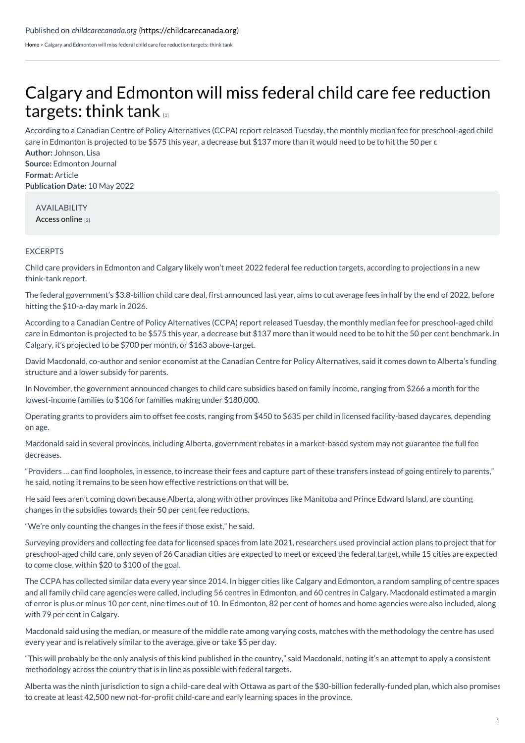[Home](https://childcarecanada.org/) > Calgary and Edmonton will miss federal child care fee reduction targets: think tank

## Calgary and [Edmonton](https://childcarecanada.org/documents/child-care-news/22/05/calgary-and-edmonton-will-miss-federal-child-care-fee-reduction) will miss federal child care fee reduction targets: think tank

**Author:** Johnson, Lisa According to a Canadian Centre of Policy Alternatives (CCPA) report released Tuesday, the monthly median fee for preschool-aged child care in Edmonton is projected to be \$575 this year, a decrease but \$137 more than it would need to be to hit the 50 per c

**Source:** Edmonton Journal **Format:** Article **Publication Date:** 10 May 2022

AVAILABILITY [Access](https://edmontonjournal.com/news/politics/calgary-and-edmonton-will-miss-federal-child-care-fee-reduction-targets-think-tank) online [2]

## **EXCERPTS**

Child care providers in Edmonton and Calgary likely won't meet 2022 federal fee reduction targets, according to projections in a new think-tank report.

The federal government's \$3.8-billion child care deal, first announced last year, aims to cut average fees in half by the end of 2022, before hitting the \$10-a-day mark in 2026.

According to a Canadian Centre of Policy Alternatives (CCPA) report released Tuesday, the monthly median fee for preschool-aged child care in Edmonton is projected to be \$575 this year, a decrease but \$137 more than it would need to be to hit the 50 per cent benchmark. In Calgary, it's projected to be \$700 per month, or \$163 above-target.

David Macdonald, co-author and senior economist at the Canadian Centre for Policy Alternatives, said it comes down to Alberta's funding structure and a lower subsidy for parents.

In November, the government announced changes to child care subsidies based on family income, ranging from \$266 a month for the lowest-income families to \$106 for families making under \$180,000.

Operating grants to providers aim to offset fee costs, ranging from \$450 to \$635 per child in licensed facility-based daycares, depending on age.

Macdonald said in several provinces, including Alberta, government rebates in a market-based system may not guarantee the full fee decreases.

"Providers … can find loopholes, in essence, to increase their fees and capture part of these transfers instead of going entirely to parents," he said, noting it remains to be seen how effective restrictions on that will be.

He said fees aren't coming down because Alberta, along with other provinces like Manitoba and Prince Edward Island, are counting changes in the subsidies towards their 50 per cent fee reductions.

"We're only counting the changes in the fees if those exist," he said.

Surveying providers and collecting fee data for licensed spaces from late 2021, researchers used provincial action plans to project that for preschool-aged child care, only seven of 26 Canadian cities are expected to meet or exceed the federal target, while 15 cities are expected to come close, within \$20 to \$100 of the goal.

The CCPA has collected similar data every year since 2014. In bigger cities like Calgary and Edmonton, a random sampling of centre spaces and all family child care agencies were called, including 56 centres in Edmonton, and 60 centres in Calgary. Macdonald estimated a margin of error is plus or minus 10 per cent, nine times out of 10. In Edmonton, 82 per cent of homes and home agencies were also included, along with 79 per cent in Calgary.

Macdonald said using the median, or measure of the middle rate among varying costs, matches with the methodology the centre has used every year and is relatively similar to the average, give or take \$5 per day.

"This will probably be the only analysis of this kind published in the country," said Macdonald, noting it's an attempt to apply a consistent methodology across the country that is in line as possible with federal targets.

Alberta was the ninth jurisdiction to sign a child-care deal with Ottawa as part of the \$30-billion federally-funded plan, which also promises to create at least 42,500 new not-for-profit child-care and early learning spaces in the province.